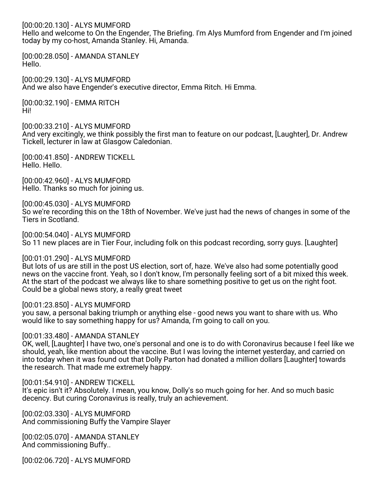[00:00:20.130] - ALYS MUMFORD

Hello and welcome to On the Engender, The Briefing. I'm Alys Mumford from Engender and I'm joined today by my co-host, Amanda Stanley. Hi, Amanda.

[00:00:28.050] - AMANDA STANLEY Hello.

[00:00:29.130] - ALYS MUMFORD And we also have Engender's executive director, Emma Ritch. Hi Emma.

[00:00:32.190] - EMMA RITCH Hi!

[00:00:33.210] - ALYS MUMFORD

And very excitingly, we think possibly the first man to feature on our podcast, [Laughter], Dr. Andrew Tickell, lecturer in law at Glasgow Caledonian.

[00:00:41.850] - ANDREW TICKELL Hello. Hello.

[00:00:42.960] - ALYS MUMFORD Hello. Thanks so much for joining us.

[00:00:45.030] - ALYS MUMFORD So we're recording this on the 18th of November. We've just had the news of changes in some of the Tiers in Scotland.

[00:00:54.040] - ALYS MUMFORD So 11 new places are in Tier Four, including folk on this podcast recording, sorry guys. [Laughter]

[00:01:01.290] - ALYS MUMFORD

But lots of us are still in the post US election, sort of, haze. We've also had some potentially good news on the vaccine front. Yeah, so I don't know, I'm personally feeling sort of a bit mixed this week. At the start of the podcast we always like to share something positive to get us on the right foot. Could be a global news story, a really great tweet

[00:01:23.850] - ALYS MUMFORD

you saw, a personal baking triumph or anything else - good news you want to share with us. Who would like to say something happy for us? Amanda, I'm going to call on you.

[00:01:33.480] - AMANDA STANLEY

OK, well, [Laughter] I have two, one's personal and one is to do with Coronavirus because I feel like we should, yeah, like mention about the vaccine. But I was loving the internet yesterday, and carried on into today when it was found out that Dolly Parton had donated a million dollars [Laughter] towards the research. That made me extremely happy.

[00:01:54.910] - ANDREW TICKELL

It's epic isn't it? Absolutely. I mean, you know, Dolly's so much going for her. And so much basic decency. But curing Coronavirus is really, truly an achievement.

[00:02:03.330] - ALYS MUMFORD And commissioning Buffy the Vampire Slayer

[00:02:05.070] - AMANDA STANLEY And commissioning Buffy..

[00:02:06.720] - ALYS MUMFORD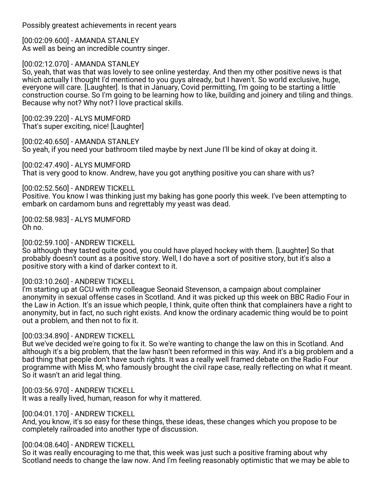Possibly greatest achievements in recent years

[00:02:09.600] - AMANDA STANLEY As well as being an incredible country singer.

[00:02:12.070] - AMANDA STANLEY

So, yeah, that was that was lovely to see online yesterday. And then my other positive news is that which actually I thought I'd mentioned to you guys already, but I haven't. So world exclusive, huge, everyone will care. [Laughter]. Is that in January, Covid permitting, I'm going to be starting a little construction course. So I'm going to be learning how to like, building and joinery and tiling and things. Because why not? Why not? I love practical skills.

[00:02:39.220] - ALYS MUMFORD That's super exciting, nice! [Laughter]

[00:02:40.650] - AMANDA STANLEY So yeah, if you need your bathroom tiled maybe by next June I'll be kind of okay at doing it.

[00:02:47.490] - ALYS MUMFORD That is very good to know. Andrew, have you got anything positive you can share with us?

[00:02:52.560] - ANDREW TICKELL

Positive. You know I was thinking just my baking has gone poorly this week. I've been attempting to embark on cardamom buns and regrettably my yeast was dead.

[00:02:58.983] - ALYS MUMFORD Oh no.

[00:02:59.100] - ANDREW TICKELL

So although they tasted quite good, you could have played hockey with them. [Laughter] So that probably doesn't count as a positive story. Well, I do have a sort of positive story, but it's also a positive story with a kind of darker context to it.

### [00:03:10.260] - ANDREW TICKELL

I'm starting up at GCU with my colleague Seonaid Stevenson, a campaign about complainer anonymity in sexual offense cases in Scotland. And it was picked up this week on BBC Radio Four in the Law in Action. It's an issue which people, I think, quite often think that complainers have a right to anonymity, but in fact, no such right exists. And know the ordinary academic thing would be to point out a problem, and then not to fix it.

### [00:03:34.890] - ANDREW TICKELL

But we've decided we're going to fix it. So we're wanting to change the law on this in Scotland. And although it's a big problem, that the law hasn't been reformed in this way. And it's a big problem and a bad thing that people don't have such rights. It was a really well framed debate on the Radio Four programme with Miss M, who famously brought the civil rape case, really reflecting on what it meant. So it wasn't an arid legal thing.

[00:03:56.970] - ANDREW TICKELL It was a really lived, human, reason for why it mattered.

[00:04:01.170] - ANDREW TICKELL

And, you know, it's so easy for these things, these ideas, these changes which you propose to be completely railroaded into another type of discussion.

### [00:04:08.640] - ANDREW TICKELL

So it was really encouraging to me that, this week was just such a positive framing about why Scotland needs to change the law now. And I'm feeling reasonably optimistic that we may be able to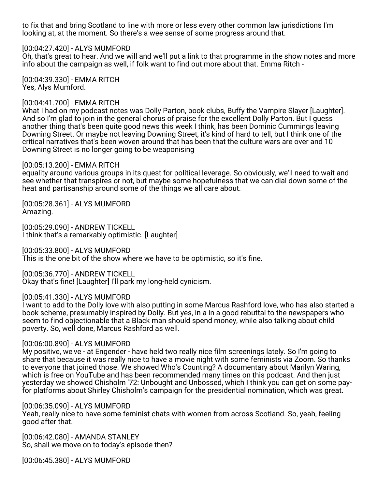to fix that and bring Scotland to line with more or less every other common law jurisdictions I'm looking at, at the moment. So there's a wee sense of some progress around that.

#### [00:04:27.420] - ALYS MUMFORD

Oh, that's great to hear. And we will and we'll put a link to that programme in the show notes and more info about the campaign as well, if folk want to find out more about that. Emma Ritch -

[00:04:39.330] - EMMA RITCH Yes, Alys Mumford.

### [00:04:41.700] - EMMA RITCH

What I had on my podcast notes was Dolly Parton, book clubs, Buffy the Vampire Slayer [Laughter]. And so I'm glad to join in the general chorus of praise for the excellent Dolly Parton. But I guess another thing that's been quite good news this week I think, has been Dominic Cummings leaving Downing Street. Or maybe not leaving Downing Street, it's kind of hard to tell, but I think one of the critical narratives that's been woven around that has been that the culture wars are over and 10 Downing Street is no longer going to be weaponising

#### [00:05:13.200] - EMMA RITCH

equality around various groups in its quest for political leverage. So obviously, we'll need to wait and see whether that transpires or not, but maybe some hopefulness that we can dial down some of the heat and partisanship around some of the things we all care about.

[00:05:28.361] - ALYS MUMFORD Amazing.

[00:05:29.090] - ANDREW TICKELL I think that's a remarkably optimistic. [Laughter]

[00:05:33.800] - ALYS MUMFORD This is the one bit of the show where we have to be optimistic, so it's fine.

[00:05:36.770] - ANDREW TICKELL Okay that's fine! [Laughter] I'll park my long-held cynicism.

### [00:05:41.330] - ALYS MUMFORD

I want to add to the Dolly love with also putting in some Marcus Rashford love, who has also started a book scheme, presumably inspired by Dolly. But yes, in a in a good rebuttal to the newspapers who seem to find objectionable that a Black man should spend money, while also talking about child poverty. So, well done, Marcus Rashford as well.

#### [00:06:00.890] - ALYS MUMFORD

My positive, we've - at Engender - have held two really nice film screenings lately. So I'm going to share that because it was really nice to have a movie night with some feminists via Zoom. So thanks to everyone that joined those. We showed Who's Counting? A documentary about Marilyn Waring, which is free on YouTube and has been recommended many times on this podcast. And then just yesterday we showed Chisholm '72: Unbought and Unbossed, which I think you can get on some payfor platforms about Shirley Chisholm's campaign for the presidential nomination, which was great.

#### [00:06:35.090] - ALYS MUMFORD

Yeah, really nice to have some feminist chats with women from across Scotland. So, yeah, feeling good after that.

[00:06:42.080] - AMANDA STANLEY So, shall we move on to today's episode then?

[00:06:45.380] - ALYS MUMFORD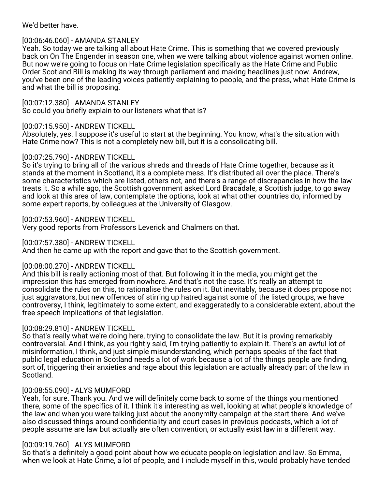We'd better have.

# [00:06:46.060] - AMANDA STANLEY

Yeah. So today we are talking all about Hate Crime. This is something that we covered previously back on On The Engender in season one, when we were talking about violence against women online. But now we're going to focus on Hate Crime legislation specifically as the Hate Crime and Public Order Scotland Bill is making its way through parliament and making headlines just now. Andrew, you've been one of the leading voices patiently explaining to people, and the press, what Hate Crime is and what the bill is proposing.

[00:07:12.380] - AMANDA STANLEY So could you briefly explain to our listeners what that is?

# [00:07:15.950] - ANDREW TICKELL

Absolutely, yes. I suppose it's useful to start at the beginning. You know, what's the situation with Hate Crime now? This is not a completely new bill, but it is a consolidating bill.

### [00:07:25.790] - ANDREW TICKELL

So it's trying to bring all of the various shreds and threads of Hate Crime together, because as it stands at the moment in Scotland, it's a complete mess. It's distributed all over the place. There's some characteristics which are listed, others not, and there's a range of discrepancies in how the law treats it. So a while ago, the Scottish government asked Lord Bracadale, a Scottish judge, to go away and look at this area of law, contemplate the options, look at what other countries do, informed by some expert reports, by colleagues at the University of Glasgow.

# [00:07:53.960] - ANDREW TICKELL

Very good reports from Professors Leverick and Chalmers on that.

[00:07:57.380] - ANDREW TICKELL

And then he came up with the report and gave that to the Scottish government.

### [00:08:00.270] - ANDREW TICKELL

And this bill is really actioning most of that. But following it in the media, you might get the impression this has emerged from nowhere. And that's not the case. It's really an attempt to consolidate the rules on this, to rationalise the rules on it. But inevitably, because it does propose not just aggravators, but new offences of stirring up hatred against some of the listed groups, we have controversy, I think, legitimately to some extent, and exaggeratedly to a considerable extent, about the free speech implications of that legislation.

# [00:08:29.810] - ANDREW TICKELL

So that's really what we're doing here, trying to consolidate the law. But it is proving remarkably controversial. And I think, as you rightly said, I'm trying patiently to explain it. There's an awful lot of misinformation, I think, and just simple misunderstanding, which perhaps speaks of the fact that public legal education in Scotland needs a lot of work because a lot of the things people are finding, sort of, triggering their anxieties and rage about this legislation are actually already part of the law in Scotland.

# [00:08:55.090] - ALYS MUMFORD

Yeah, for sure. Thank you. And we will definitely come back to some of the things you mentioned there, some of the specifics of it. I think it's interesting as well, looking at what people's knowledge of the law and when you were talking just about the anonymity campaign at the start there. And we've also discussed things around confidentiality and court cases in previous podcasts, which a lot of people assume are law but actually are often convention, or actually exist law in a different way.

### [00:09:19.760] - ALYS MUMFORD

So that's a definitely a good point about how we educate people on legislation and law. So Emma, when we look at Hate Crime, a lot of people, and I include myself in this, would probably have tended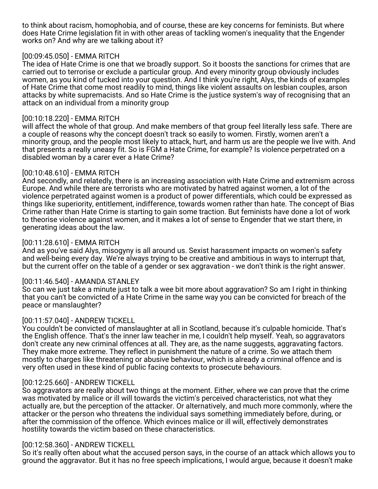to think about racism, homophobia, and of course, these are key concerns for feminists. But where does Hate Crime legislation fit in with other areas of tackling women's inequality that the Engender works on? And why are we talking about it?

### [00:09:45.050] - EMMA RITCH

The idea of Hate Crime is one that we broadly support. So it boosts the sanctions for crimes that are carried out to terrorise or exclude a particular group. And every minority group obviously includes women, as you kind of tucked into your question. And I think you're right, Alys, the kinds of examples of Hate Crime that come most readily to mind, things like violent assaults on lesbian couples, arson attacks by white supremacists. And so Hate Crime is the justice system's way of recognising that an attack on an individual from a minority group

### [00:10:18.220] - EMMA RITCH

will affect the whole of that group. And make members of that group feel literally less safe. There are a couple of reasons why the concept doesn't track so easily to women. Firstly, women aren't a minority group, and the people most likely to attack, hurt, and harm us are the people we live with. And that presents a really uneasy fit. So is FGM a Hate Crime, for example? Is violence perpetrated on a disabled woman by a carer ever a Hate Crime?

# [00:10:48.610] - EMMA RITCH

And secondly, and relatedly, there is an increasing association with Hate Crime and extremism across Europe. And while there are terrorists who are motivated by hatred against women, a lot of the violence perpetrated against women is a product of power differentials, which could be expressed as things like superiority, entitlement, indifference, towards women rather than hate. The concept of Bias Crime rather than Hate Crime is starting to gain some traction. But feminists have done a lot of work to theorise violence against women, and it makes a lot of sense to Engender that we start there, in generating ideas about the law.

### [00:11:28.610] - EMMA RITCH

And as you've said Alys, misogyny is all around us. Sexist harassment impacts on women's safety and well-being every day. We're always trying to be creative and ambitious in ways to interrupt that, but the current offer on the table of a gender or sex aggravation - we don't think is the right answer.

### [00:11:46.540] - AMANDA STANLEY

So can we just take a minute just to talk a wee bit more about aggravation? So am I right in thinking that you can't be convicted of a Hate Crime in the same way you can be convicted for breach of the peace or manslaughter?

### [00:11:57.040] - ANDREW TICKELL

You couldn't be convicted of manslaughter at all in Scotland, because it's culpable homicide. That's the English offence. That's the inner law teacher in me, I couldn't help myself. Yeah, so aggravators don't create any new criminal offences at all. They are, as the name suggests, aggravating factors. They make more extreme. They reflect in punishment the nature of a crime. So we attach them mostly to charges like threatening or abusive behaviour, which is already a criminal offence and is very often used in these kind of public facing contexts to prosecute behaviours.

### [00:12:25.660] - ANDREW TICKELL

So aggravators are really about two things at the moment. Either, where we can prove that the crime was motivated by malice or ill will towards the victim's perceived characteristics, not what they actually are, but the perception of the attacker. Or alternatively, and much more commonly, where the attacker or the person who threatens the individual says something immediately before, during, or after the commission of the offence. Which evinces malice or ill will, effectively demonstrates hostility towards the victim based on these characteristics.

### [00:12:58.360] - ANDREW TICKELL

So it's really often about what the accused person says, in the course of an attack which allows you to ground the aggravator. But it has no free speech implications, I would argue, because it doesn't make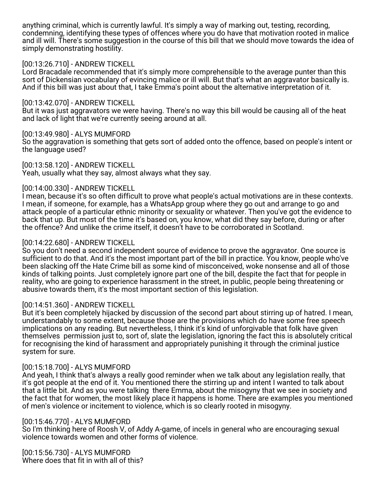anything criminal, which is currently lawful. It's simply a way of marking out, testing, recording, condemning, identifying these types of offences where you do have that motivation rooted in malice and ill will. There's some suggestion in the course of this bill that we should move towards the idea of simply demonstrating hostility.

### [00:13:26.710] - ANDREW TICKELL

Lord Bracadale recommended that it's simply more comprehensible to the average punter than this sort of Dickensian vocabulary of evincing malice or ill will. But that's what an aggravator basically is. And if this bill was just about that, I take Emma's point about the alternative interpretation of it.

#### [00:13:42.070] - ANDREW TICKELL

But it was just aggravators we were having. There's no way this bill would be causing all of the heat and lack of light that we're currently seeing around at all.

#### [00:13:49.980] - ALYS MUMFORD

So the aggravation is something that gets sort of added onto the offence, based on people's intent or the language used?

[00:13:58.120] - ANDREW TICKELL Yeah, usually what they say, almost always what they say.

#### [00:14:00.330] - ANDREW TICKELL

I mean, because it's so often difficult to prove what people's actual motivations are in these contexts. I mean, if someone, for example, has a WhatsApp group where they go out and arrange to go and attack people of a particular ethnic minority or sexuality or whatever. Then you've got the evidence to back that up. But most of the time it's based on, you know, what did they say before, during or after the offence? And unlike the crime itself, it doesn't have to be corroborated in Scotland.

#### [00:14:22.680] - ANDREW TICKELL

So you don't need a second independent source of evidence to prove the aggravator. One source is sufficient to do that. And it's the most important part of the bill in practice. You know, people who've been slacking off the Hate Crime bill as some kind of misconceived, woke nonsense and all of those kinds of talking points. Just completely ignore part one of the bill, despite the fact that for people in reality, who are going to experience harassment in the street, in public, people being threatening or abusive towards them, it's the most important section of this legislation.

### [00:14:51.360] - ANDREW TICKELL

But it's been completely hijacked by discussion of the second part about stirring up of hatred. I mean, understandably to some extent, because those are the provisions which do have some free speech implications on any reading. But nevertheless, I think it's kind of unforgivable that folk have given themselves permission just to, sort of, slate the legislation, ignoring the fact this is absolutely critical for recognising the kind of harassment and appropriately punishing it through the criminal justice system for sure.

#### [00:15:18.700] - ALYS MUMFORD

And yeah, I think that's always a really good reminder when we talk about any legislation really, that it's got people at the end of it. You mentioned there the stirring up and intent I wanted to talk about that a little bit. And as you were talking there Emma, about the misogyny that we see in society and the fact that for women, the most likely place it happens is home. There are examples you mentioned of men's violence or incitement to violence, which is so clearly rooted in misogyny.

#### [00:15:46.770] - ALYS MUMFORD

So I'm thinking here of Roosh V, of Addy A-game, of incels in general who are encouraging sexual violence towards women and other forms of violence.

[00:15:56.730] - ALYS MUMFORD Where does that fit in with all of this?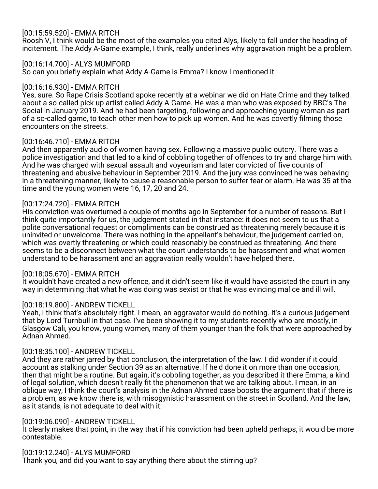# [00:15:59.520] - EMMA RITCH

Roosh V, I think would be the most of the examples you cited Alys, likely to fall under the heading of incitement. The Addy A-Game example, I think, really underlines why aggravation might be a problem.

[00:16:14.700] - ALYS MUMFORD

So can you briefly explain what Addy A-Game is Emma? I know I mentioned it.

#### [00:16:16.930] - EMMA RITCH

Yes, sure. So Rape Crisis Scotland spoke recently at a webinar we did on Hate Crime and they talked about a so-called pick up artist called Addy A-Game. He was a man who was exposed by BBC's The Social in January 2019. And he had been targeting, following and approaching young woman as part of a so-called game, to teach other men how to pick up women. And he was covertly filming those encounters on the streets.

#### [00:16:46.710] - EMMA RITCH

And then apparently audio of women having sex. Following a massive public outcry. There was a police investigation and that led to a kind of cobbling together of offences to try and charge him with. And he was charged with sexual assault and voyeurism and later convicted of five counts of threatening and abusive behaviour in September 2019. And the jury was convinced he was behaving in a threatening manner, likely to cause a reasonable person to suffer fear or alarm. He was 35 at the time and the young women were 16, 17, 20 and 24.

#### [00:17:24.720] - EMMA RITCH

His conviction was overturned a couple of months ago in September for a number of reasons. But I think quite importantly for us, the judgement stated in that instance: it does not seem to us that a polite conversational request or compliments can be construed as threatening merely because it is uninvited or unwelcome. There was nothing in the appellant's behaviour, the judgement carried on, which was overtly threatening or which could reasonably be construed as threatening. And there seems to be a disconnect between what the court understands to be harassment and what women understand to be harassment and an aggravation really wouldn't have helped there.

### [00:18:05.670] - EMMA RITCH

It wouldn't have created a new offence, and it didn't seem like it would have assisted the court in any way in determining that what he was doing was sexist or that he was evincing malice and ill will.

#### [00:18:19.800] - ANDREW TICKELL

Yeah, I think that's absolutely right. I mean, an aggravator would do nothing. It's a curious judgement that by Lord Turnbull in that case. I've been showing it to my students recently who are mostly, in Glasgow Cali, you know, young women, many of them younger than the folk that were approached by Adnan Ahmed.

#### [00:18:35.100] - ANDREW TICKELL

And they are rather jarred by that conclusion, the interpretation of the law. I did wonder if it could account as stalking under Section 39 as an alternative. If he'd done it on more than one occasion, then that might be a routine. But again, it's cobbling together, as you described it there Emma, a kind of legal solution, which doesn't really fit the phenomenon that we are talking about. I mean, in an oblique way, I think the court's analysis in the Adnan Ahmed case boosts the argument that if there is a problem, as we know there is, with misogynistic harassment on the street in Scotland. And the law, as it stands, is not adequate to deal with it.

#### [00:19:06.090] - ANDREW TICKELL

It clearly makes that point, in the way that if his conviction had been upheld perhaps, it would be more contestable.

#### [00:19:12.240] - ALYS MUMFORD

Thank you, and did you want to say anything there about the stirring up?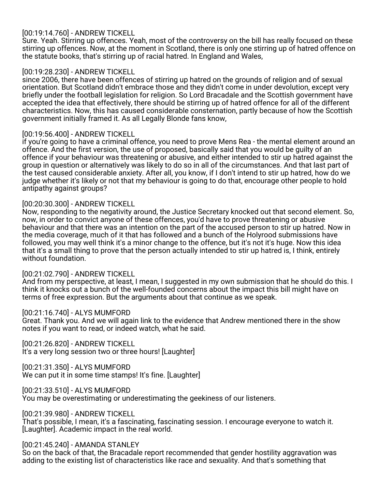# [00:19:14.760] - ANDREW TICKELL

Sure. Yeah. Stirring up offences. Yeah, most of the controversy on the bill has really focused on these stirring up offences. Now, at the moment in Scotland, there is only one stirring up of hatred offence on the statute books, that's stirring up of racial hatred. In England and Wales,

### [00:19:28.230] - ANDREW TICKELL

since 2006, there have been offences of stirring up hatred on the grounds of religion and of sexual orientation. But Scotland didn't embrace those and they didn't come in under devolution, except very briefly under the football legislation for religion. So Lord Bracadale and the Scottish government have accepted the idea that effectively, there should be stirring up of hatred offence for all of the different characteristics. Now, this has caused considerable consternation, partly because of how the Scottish government initially framed it. As all Legally Blonde fans know,

### [00:19:56.400] - ANDREW TICKELL

if you're going to have a criminal offence, you need to prove Mens Rea - the mental element around an offence. And the first version, the use of proposed, basically said that you would be guilty of an offence if your behaviour was threatening or abusive, and either intended to stir up hatred against the group in question or alternatively was likely to do so in all of the circumstances. And that last part of the test caused considerable anxiety. After all, you know, if I don't intend to stir up hatred, how do we judge whether it's likely or not that my behaviour is going to do that, encourage other people to hold antipathy against groups?

#### [00:20:30.300] - ANDREW TICKELL

Now, responding to the negativity around, the Justice Secretary knocked out that second element. So, now, in order to convict anyone of these offences, you'd have to prove threatening or abusive behaviour and that there was an intention on the part of the accused person to stir up hatred. Now in the media coverage, much of it that has followed and a bunch of the Holyrood submissions have followed, you may well think it's a minor change to the offence, but it's not it's huge. Now this idea that it's a small thing to prove that the person actually intended to stir up hatred is, I think, entirely without foundation.

#### [00:21:02.790] - ANDREW TICKELL

And from my perspective, at least, I mean, I suggested in my own submission that he should do this. I think it knocks out a bunch of the well-founded concerns about the impact this bill might have on terms of free expression. But the arguments about that continue as we speak.

#### [00:21:16.740] - ALYS MUMFORD

Great. Thank you. And we will again link to the evidence that Andrew mentioned there in the show notes if you want to read, or indeed watch, what he said.

[00:21:26.820] - ANDREW TICKELL It's a very long session two or three hours! [Laughter]

[00:21:31.350] - ALYS MUMFORD

We can put it in some time stamps! It's fine. [Laughter]

[00:21:33.510] - ALYS MUMFORD

You may be overestimating or underestimating the geekiness of our listeners.

[00:21:39.980] - ANDREW TICKELL

That's possible, I mean, it's a fascinating, fascinating session. I encourage everyone to watch it. [Laughter]. Academic impact in the real world.

### [00:21:45.240] - AMANDA STANLEY

So on the back of that, the Bracadale report recommended that gender hostility aggravation was adding to the existing list of characteristics like race and sexuality. And that's something that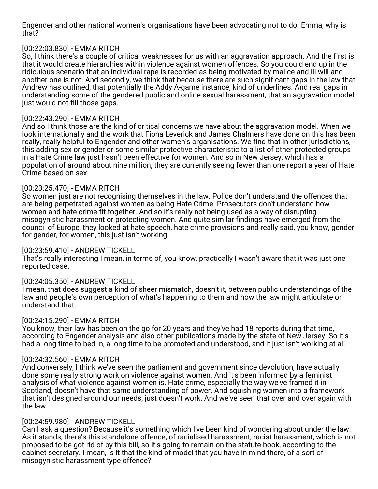Engender and other national women's organisations have been advocating not to do. Emma, why is that?

# [00:22:03.830] - EMMA RITCH

So, I think there's a couple of critical weaknesses for us with an aggravation approach. And the first is that it would create hierarchies within violence against women offences. So you could end up in the ridiculous scenario that an individual rape is recorded as being motivated by malice and ill will and another one is not. And secondly, we think that because there are such significant gaps in the law that Andrew has outlined, that potentially the Addy A-game instance, kind of underlines. And real gaps in understanding some of the gendered public and online sexual harassment, that an aggravation model just would not fill those gaps.

# [00:22:43.290] - EMMA RITCH

And so I think those are the kind of critical concerns we have about the aggravation model. When we look internationally and the work that Fiona Leverick and James Chalmers have done on this has been really, really helpful to Engender and other women's organisations. We find that in other jurisdictions, this adding sex or gender or some similar protective characteristic to a list of other protected groups in a Hate Crime law just hasn't been effective for women. And so in New Jersey, which has a population of around about nine million, they are currently seeing fewer than one report a year of Hate Crime based on sex.

### [00:23:25.470] - EMMA RITCH

So women just are not recognising themselves in the law. Police don't understand the offences that are being perpetrated against women as being Hate Crime. Prosecutors don't understand how women and hate crime fit together. And so it's really not being used as a way of disrupting misogynistic harassment or protecting women. And quite similar findings have emerged from the council of Europe, they looked at hate speech, hate crime provisions and really said, you know, gender for gender, for women, this just isn't working.

### [00:23:59.410] - ANDREW TICKELL

That's really interesting I mean, in terms of, you know, practically I wasn't aware that it was just one reported case.

### [00:24:05.350] - ANDREW TICKELL

I mean, that does suggest a kind of sheer mismatch, doesn't it, between public understandings of the law and people's own perception of what's happening to them and how the law might articulate or understand that.

### [00:24:15.290] - EMMA RITCH

You know, their law has been on the go for 20 years and they've had 18 reports during that time, according to Engender analysis and also other publications made by the state of New Jersey. So it's had a long time to bed in, a long time to be promoted and understood, and it just isn't working at all.

### [00:24:32.560] - EMMA RITCH

And conversely, I think we've seen the parliament and government since devolution, have actually done some really strong work on violence against women. And it's been informed by a feminist analysis of what violence against women is. Hate crime, especially the way we've framed it in Scotland, doesn't have that same understanding of power. And squishing women into a framework that isn't designed around our needs, just doesn't work. And we've seen that over and over again with the law.

### [00:24:59.980] - ANDREW TICKELL

Can I ask a question? Because it's something which I've been kind of wondering about under the law. As it stands, there's this standalone offence, of racialised harassment, racist harassment, which is not proposed to be got rid of by this bill, so it's going to remain on the statute book, according to the cabinet secretary. I mean, is it that the kind of model that you have in mind there, of a sort of misogynistic harassment type offence?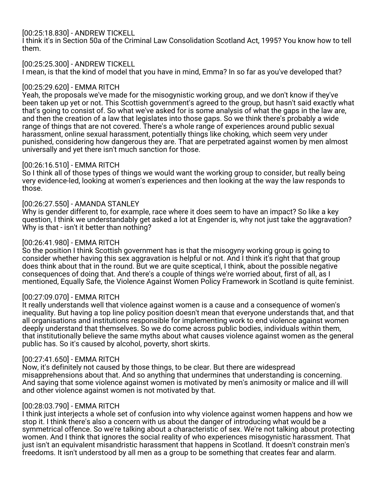# [00:25:18.830] - ANDREW TICKELL

I think it's in Section 50a of the Criminal Law Consolidation Scotland Act, 1995? You know how to tell them.

[00:25:25.300] - ANDREW TICKELL I mean, is that the kind of model that you have in mind, Emma? In so far as you've developed that?

# [00:25:29.620] - EMMA RITCH

Yeah, the proposals we've made for the misogynistic working group, and we don't know if they've been taken up yet or not. This Scottish government's agreed to the group, but hasn't said exactly what that's going to consist of. So what we've asked for is some analysis of what the gaps in the law are, and then the creation of a law that legislates into those gaps. So we think there's probably a wide range of things that are not covered. There's a whole range of experiences around public sexual harassment, online sexual harassment, potentially things like choking, which seem very under punished, considering how dangerous they are. That are perpetrated against women by men almost universally and yet there isn't much sanction for those.

# [00:26:16.510] - EMMA RITCH

So I think all of those types of things we would want the working group to consider, but really being very evidence-led, looking at women's experiences and then looking at the way the law responds to those.

# [00:26:27.550] - AMANDA STANLEY

Why is gender different to, for example, race where it does seem to have an impact? So like a key question, I think we understandably get asked a lot at Engender is, why not just take the aggravation? Why is that - isn't it better than nothing?

# [00:26:41.980] - EMMA RITCH

So the position I think Scottish government has is that the misogyny working group is going to consider whether having this sex aggravation is helpful or not. And I think it's right that that group does think about that in the round. But we are quite sceptical, I think, about the possible negative consequences of doing that. And there's a couple of things we're worried about, first of all, as I mentioned, Equally Safe, the Violence Against Women Policy Framework in Scotland is quite feminist.

### [00:27:09.070] - EMMA RITCH

It really understands well that violence against women is a cause and a consequence of women's inequality. But having a top line policy position doesn't mean that everyone understands that, and that all organisations and institutions responsible for implementing work to end violence against women deeply understand that themselves. So we do come across public bodies, individuals within them, that institutionally believe the same myths about what causes violence against women as the general public has. So it's caused by alcohol, poverty, short skirts.

### [00:27:41.650] - EMMA RITCH

Now, it's definitely not caused by those things, to be clear. But there are widespread misapprehensions about that. And so anything that undermines that understanding is concerning. And saying that some violence against women is motivated by men's animosity or malice and ill will and other violence against women is not motivated by that.

### [00:28:03.790] - EMMA RITCH

I think just interjects a whole set of confusion into why violence against women happens and how we stop it. I think there's also a concern with us about the danger of introducing what would be a symmetrical offence. So we're talking about a characteristic of sex. We're not talking about protecting women. And I think that ignores the social reality of who experiences misogynistic harassment. That just isn't an equivalent misandristic harassment that happens in Scotland. It doesn't constrain men's freedoms. It isn't understood by all men as a group to be something that creates fear and alarm.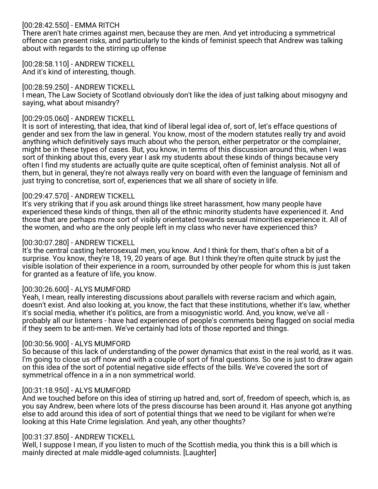# [00:28:42.550] - EMMA RITCH

There aren't hate crimes against men, because they are men. And yet introducing a symmetrical offence can present risks, and particularly to the kinds of feminist speech that Andrew was talking about with regards to the stirring up offense

#### [00:28:58.110] - ANDREW TICKELL And it's kind of interesting, though.

#### [00:28:59.250] - ANDREW TICKELL

I mean, The Law Society of Scotland obviously don't like the idea of just talking about misogyny and saying, what about misandry?

#### [00:29:05.060] - ANDREW TICKELL

It is sort of interesting, that idea, that kind of liberal legal idea of, sort of, let's efface questions of gender and sex from the law in general. You know, most of the modern statutes really try and avoid anything which definitively says much about who the person, either perpetrator or the complainer, might be in these types of cases. But, you know, in terms of this discussion around this, when I was sort of thinking about this, every year I ask my students about these kinds of things because very often I find my students are actually quite are quite sceptical, often of feminist analysis. Not all of them, but in general, they're not always really very on board with even the language of feminism and just trying to concretise, sort of, experiences that we all share of society in life.

#### [00:29:47.570] - ANDREW TICKELL

It's very striking that if you ask around things like street harassment, how many people have experienced these kinds of things, then all of the ethnic minority students have experienced it. And those that are perhaps more sort of visibly orientated towards sexual minorities experience it. All of the women, and who are the only people left in my class who never have experienced this?

#### [00:30:07.280] - ANDREW TICKELL

It's the central casting heterosexual men, you know. And I think for them, that's often a bit of a surprise. You know, they're 18, 19, 20 years of age. But I think they're often quite struck by just the visible isolation of their experience in a room, surrounded by other people for whom this is just taken for granted as a feature of life, you know.

### [00:30:26.600] - ALYS MUMFORD

Yeah, I mean, really interesting discussions about parallels with reverse racism and which again, doesn't exist. And also looking at, you know, the fact that these institutions, whether it's law, whether it's social media, whether it's politics, are from a misogynistic world. And, you know, we've all probably all our listeners - have had experiences of people's comments being flagged on social media if they seem to be anti-men. We've certainly had lots of those reported and things.

#### [00:30:56.900] - ALYS MUMFORD

So because of this lack of understanding of the power dynamics that exist in the real world, as it was. I'm going to close us off now and with a couple of sort of final questions. So one is just to draw again on this idea of the sort of potential negative side effects of the bills. We've covered the sort of symmetrical offence in a in a non symmetrical world.

#### [00:31:18.950] - ALYS MUMFORD

And we touched before on this idea of stirring up hatred and, sort of, freedom of speech, which is, as you say Andrew, been where lots of the press discourse has been around it. Has anyone got anything else to add around this idea of sort of potential things that we need to be vigilant for when we're looking at this Hate Crime legislation. And yeah, any other thoughts?

#### [00:31:37.850] - ANDREW TICKELL

Well, I suppose I mean, if you listen to much of the Scottish media, you think this is a bill which is mainly directed at male middle-aged columnists. [Laughter]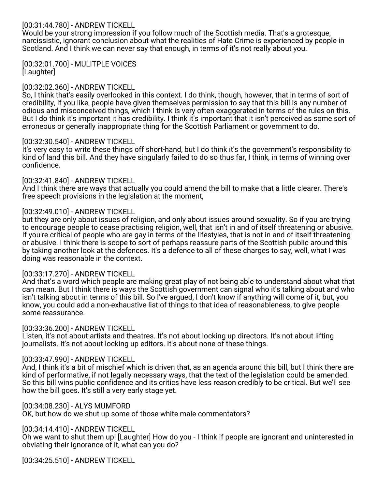# [00:31:44.780] - ANDREW TICKELL

Would be your strong impression if you follow much of the Scottish media. That's a grotesque, narcissistic, ignorant conclusion about what the realities of Hate Crime is experienced by people in Scotland. And I think we can never say that enough, in terms of it's not really about you.

[00:32:01.700] - MULITPLE VOICES [Laughter]

### [00:32:02.360] - ANDREW TICKELL

So, I think that's easily overlooked in this context. I do think, though, however, that in terms of sort of credibility, if you like, people have given themselves permission to say that this bill is any number of odious and misconceived things, which I think is very often exaggerated in terms of the rules on this. But I do think it's important it has credibility. I think it's important that it isn't perceived as some sort of erroneous or generally inappropriate thing for the Scottish Parliament or government to do.

#### [00:32:30.540] - ANDREW TICKELL

It's very easy to write these things off short-hand, but I do think it's the government's responsibility to kind of land this bill. And they have singularly failed to do so thus far, I think, in terms of winning over confidence.

#### [00:32:41.840] - ANDREW TICKELL

And I think there are ways that actually you could amend the bill to make that a little clearer. There's free speech provisions in the legislation at the moment,

#### [00:32:49.010] - ANDREW TICKELL

but they are only about issues of religion, and only about issues around sexuality. So if you are trying to encourage people to cease practising religion, well, that isn't in and of itself threatening or abusive. If you're critical of people who are gay in terms of the lifestyles, that is not in and of itself threatening or abusive. I think there is scope to sort of perhaps reassure parts of the Scottish public around this by taking another look at the defences. It's a defence to all of these charges to say, well, what I was doing was reasonable in the context.

#### [00:33:17.270] - ANDREW TICKELL

And that's a word which people are making great play of not being able to understand about what that can mean. But I think there is ways the Scottish government can signal who it's talking about and who isn't talking about in terms of this bill. So I've argued, I don't know if anything will come of it, but, you know, you could add a non-exhaustive list of things to that idea of reasonableness, to give people some reassurance.

#### [00:33:36.200] - ANDREW TICKELL

Listen, it's not about artists and theatres. It's not about locking up directors. It's not about lifting journalists. It's not about locking up editors. It's about none of these things.

### [00:33:47.990] - ANDREW TICKELL

And, I think it's a bit of mischief which is driven that, as an agenda around this bill, but I think there are kind of performative, if not legally necessary ways, that the text of the legislation could be amended. So this bill wins public confidence and its critics have less reason credibly to be critical. But we'll see how the bill goes. It's still a very early stage yet.

#### [00:34:08.230] - ALYS MUMFORD

OK, but how do we shut up some of those white male commentators?

# [00:34:14.410] - ANDREW TICKELL

Oh we want to shut them up! [Laughter] How do you - I think if people are ignorant and uninterested in obviating their ignorance of it, what can you do?

[00:34:25.510] - ANDREW TICKELL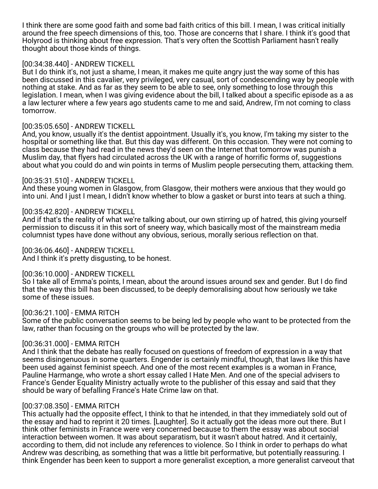I think there are some good faith and some bad faith critics of this bill. I mean, I was critical initially around the free speech dimensions of this, too. Those are concerns that I share. I think it's good that Holyrood is thinking about free expression. That's very often the Scottish Parliament hasn't really thought about those kinds of things.

# [00:34:38.440] - ANDREW TICKELL

But I do think it's, not just a shame, I mean, it makes me quite angry just the way some of this has been discussed in this cavalier, very privileged, very casual, sort of condescending way by people with nothing at stake. And as far as they seem to be able to see, only something to lose through this legislation. I mean, when I was giving evidence about the bill, I talked about a specific episode as a as a law lecturer where a few years ago students came to me and said, Andrew, I'm not coming to class tomorrow.

### [00:35:05.650] - ANDREW TICKELL

And, you know, usually it's the dentist appointment. Usually it's, you know, I'm taking my sister to the hospital or something like that. But this day was different. On this occasion. They were not coming to class because they had read in the news they'd seen on the Internet that tomorrow was punish a Muslim day, that flyers had circulated across the UK with a range of horrific forms of, suggestions about what you could do and win points in terms of Muslim people persecuting them, attacking them.

# [00:35:31.510] - ANDREW TICKELL

And these young women in Glasgow, from Glasgow, their mothers were anxious that they would go into uni. And I just I mean, I didn't know whether to blow a gasket or burst into tears at such a thing.

# [00:35:42.820] - ANDREW TICKELL

And if that's the reality of what we're talking about, our own stirring up of hatred, this giving yourself permission to discuss it in this sort of sneery way, which basically most of the mainstream media columnist types have done without any obvious, serious, morally serious reflection on that.

# [00:36:06.460] - ANDREW TICKELL

And I think it's pretty disgusting, to be honest.

### [00:36:10.000] - ANDREW TICKELL

So I take all of Emma's points, I mean, about the around issues around sex and gender. But I do find that the way this bill has been discussed, to be deeply demoralising about how seriously we take some of these issues.

### [00:36:21.100] - EMMA RITCH

Some of the public conversation seems to be being led by people who want to be protected from the law, rather than focusing on the groups who will be protected by the law.

### [00:36:31.000] - EMMA RITCH

And I think that the debate has really focused on questions of freedom of expression in a way that seems disingenuous in some quarters. Engender is certainly mindful, though, that laws like this have been used against feminist speech. And one of the most recent examples is a woman in France, Pauline Harmange, who wrote a short essay called I Hate Men. And one of the special advisers to France's Gender Equality Ministry actually wrote to the publisher of this essay and said that they should be wary of befalling France's Hate Crime law on that.

### [00:37:08.350] - EMMA RITCH

This actually had the opposite effect, I think to that he intended, in that they immediately sold out of the essay and had to reprint it 20 times. [Laughter]. So it actually got the ideas more out there. But I think other feminists in France were very concerned because to them the essay was about social interaction between women. It was about separatism, but it wasn't about hatred. And it certainly, according to them, did not include any references to violence. So I think in order to perhaps do what Andrew was describing, as something that was a little bit performative, but potentially reassuring. I think Engender has been keen to support a more generalist exception, a more generalist carveout that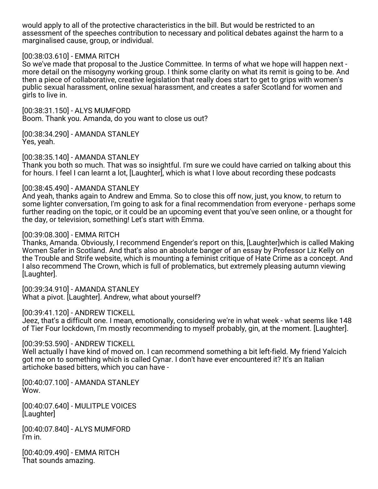would apply to all of the protective characteristics in the bill. But would be restricted to an assessment of the speeches contribution to necessary and political debates against the harm to a marginalised cause, group, or individual.

#### [00:38:03.610] - EMMA RITCH

So we've made that proposal to the Justice Committee. In terms of what we hope will happen next more detail on the misogyny working group. I think some clarity on what its remit is going to be. And then a piece of collaborative, creative legislation that really does start to get to grips with women's public sexual harassment, online sexual harassment, and creates a safer Scotland for women and girls to live in.

[00:38:31.150] - ALYS MUMFORD Boom. Thank you. Amanda, do you want to close us out?

[00:38:34.290] - AMANDA STANLEY Yes, yeah.

[00:38:35.140] - AMANDA STANLEY

Thank you both so much. That was so insightful. I'm sure we could have carried on talking about this for hours. I feel I can learnt a lot, [Laughter], which is what I love about recording these podcasts

#### [00:38:45.490] - AMANDA STANLEY

And yeah, thanks again to Andrew and Emma. So to close this off now, just, you know, to return to some lighter conversation, I'm going to ask for a final recommendation from everyone - perhaps some further reading on the topic, or it could be an upcoming event that you've seen online, or a thought for the day, or television, something! Let's start with Emma.

#### [00:39:08.300] - EMMA RITCH

Thanks, Amanda. Obviously, I recommend Engender's report on this, [Laughter]which is called Making Women Safer in Scotland. And that's also an absolute banger of an essay by Professor Liz Kelly on the Trouble and Strife website, which is mounting a feminist critique of Hate Crime as a concept. And I also recommend The Crown, which is full of problematics, but extremely pleasing autumn viewing [Laughter].

[00:39:34.910] - AMANDA STANLEY What a pivot. [Laughter]. Andrew, what about yourself?

[00:39:41.120] - ANDREW TICKELL

Jeez, that's a difficult one. I mean, emotionally, considering we're in what week - what seems like 148 of Tier Four lockdown, I'm mostly recommending to myself probably, gin, at the moment. [Laughter].

### [00:39:53.590] - ANDREW TICKELL

Well actually I have kind of moved on. I can recommend something a bit left-field. My friend Yalcich got me on to something which is called Cynar. I don't have ever encountered it? It's an Italian artichoke based bitters, which you can have -

[00:40:07.100] - AMANDA STANLEY Wow.

[00:40:07.640] - MULITPLE VOICES [Laughter]

[00:40:07.840] - ALYS MUMFORD I'm in.

[00:40:09.490] - EMMA RITCH That sounds amazing.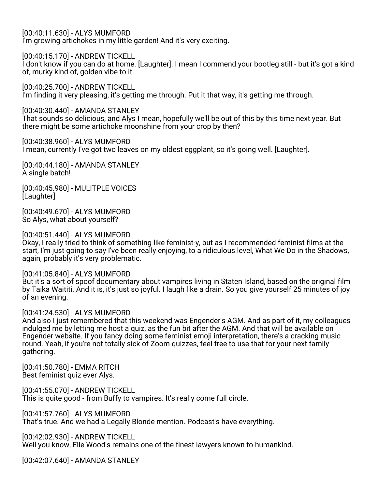[00:40:11.630] - ALYS MUMFORD I'm growing artichokes in my little garden! And it's very exciting.

[00:40:15.170] - ANDREW TICKELL

I don't know if you can do at home. [Laughter]. I mean I commend your bootleg still - but it's got a kind of, murky kind of, golden vibe to it.

[00:40:25.700] - ANDREW TICKELL I'm finding it very pleasing, it's getting me through. Put it that way, it's getting me through.

[00:40:30.440] - AMANDA STANLEY That sounds so delicious, and Alys I mean, hopefully we'll be out of this by this time next year. But there might be some artichoke moonshine from your crop by then?

[00:40:38.960] - ALYS MUMFORD I mean, currently I've got two leaves on my oldest eggplant, so it's going well. [Laughter].

[00:40:44.180] - AMANDA STANLEY A single batch!

[00:40:45.980] - MULITPLE VOICES [Laughter]

[00:40:49.670] - ALYS MUMFORD So Alys, what about yourself?

### [00:40:51.440] - ALYS MUMFORD

Okay, I really tried to think of something like feminist-y, but as I recommended feminist films at the start, I'm just going to say I've been really enjoying, to a ridiculous level, What We Do in the Shadows, again, probably it's very problematic.

[00:41:05.840] - ALYS MUMFORD

But it's a sort of spoof documentary about vampires living in Staten Island, based on the original film by Taika Waititi. And it is, it's just so joyful. I laugh like a drain. So you give yourself 25 minutes of joy of an evening.

### [00:41:24.530] - ALYS MUMFORD

And also I just remembered that this weekend was Engender's AGM. And as part of it, my colleagues indulged me by letting me host a quiz, as the fun bit after the AGM. And that will be available on Engender website. If you fancy doing some feminist emoji interpretation, there's a cracking music round. Yeah, if you're not totally sick of Zoom quizzes, feel free to use that for your next family gathering.

[00:41:50.780] - EMMA RITCH Best feminist quiz ever Alys.

[00:41:55.070] - ANDREW TICKELL This is quite good - from Buffy to vampires. It's really come full circle.

[00:41:57.760] - ALYS MUMFORD That's true. And we had a Legally Blonde mention. Podcast's have everything.

[00:42:02.930] - ANDREW TICKELL Well you know, Elle Wood's remains one of the finest lawyers known to humankind.

[00:42:07.640] - AMANDA STANLEY